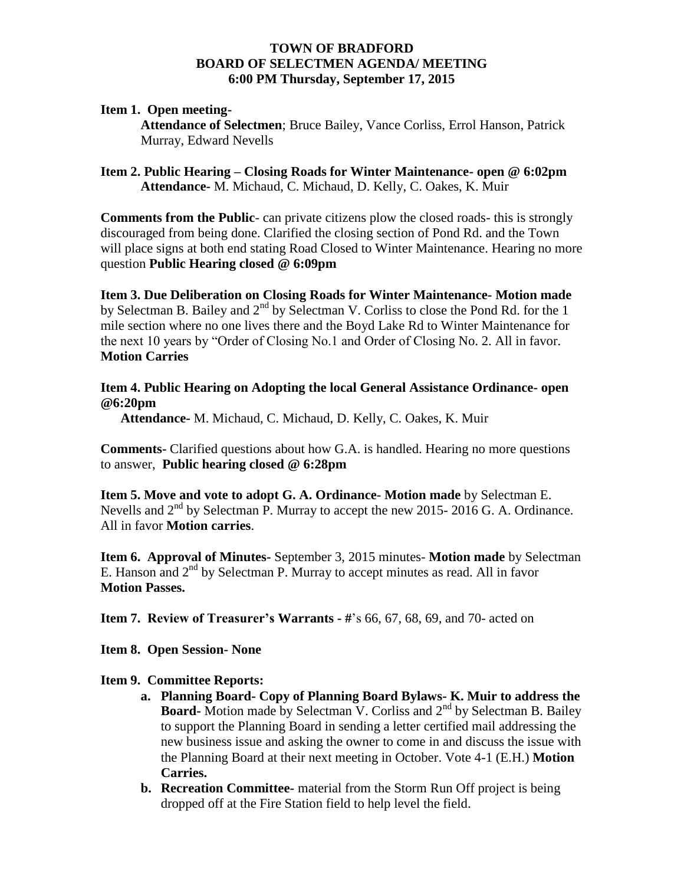### **TOWN OF BRADFORD BOARD OF SELECTMEN AGENDA/ MEETING 6:00 PM Thursday, September 17, 2015**

### **Item 1. Open meeting-**

**Attendance of Selectmen**; Bruce Bailey, Vance Corliss, Errol Hanson, Patrick Murray, Edward Nevells

**Item 2. Public Hearing – Closing Roads for Winter Maintenance- open @ 6:02pm Attendance-** M. Michaud, C. Michaud, D. Kelly, C. Oakes, K. Muir

**Comments from the Public**- can private citizens plow the closed roads- this is strongly discouraged from being done. Clarified the closing section of Pond Rd. and the Town will place signs at both end stating Road Closed to Winter Maintenance. Hearing no more question **Public Hearing closed @ 6:09pm**

**Item 3. Due Deliberation on Closing Roads for Winter Maintenance- Motion made**  by Selectman B. Bailey and  $2<sup>nd</sup>$  by Selectman V. Corliss to close the Pond Rd. for the 1 mile section where no one lives there and the Boyd Lake Rd to Winter Maintenance for the next 10 years by "Order of Closing No.1 and Order of Closing No. 2. All in favor. **Motion Carries**

### **Item 4. Public Hearing on Adopting the local General Assistance Ordinance- open @6:20pm**

 **Attendance-** M. Michaud, C. Michaud, D. Kelly, C. Oakes, K. Muir

**Comments-** Clarified questions about how G.A. is handled. Hearing no more questions to answer, **Public hearing closed @ 6:28pm** 

**Item 5. Move and vote to adopt G. A. Ordinance- Motion made** by Selectman E. Nevells and  $2<sup>nd</sup>$  by Selectman P. Murray to accept the new 2015- 2016 G. A. Ordinance. All in favor **Motion carries**.

**Item 6. Approval of Minutes-** September 3, 2015 minutes- **Motion made** by Selectman E. Hanson and  $2<sup>nd</sup>$  by Selectman P. Murray to accept minutes as read. All in favor **Motion Passes.**

**Item 7. Review of Treasurer's Warrants - #**'s 66, 67, 68, 69, and 70- acted on

**Item 8. Open Session- None**

### **Item 9. Committee Reports:**

- **a. Planning Board- Copy of Planning Board Bylaws- K. Muir to address the Board-** Motion made by Selectman V. Corliss and 2<sup>nd</sup> by Selectman B. Bailey to support the Planning Board in sending a letter certified mail addressing the new business issue and asking the owner to come in and discuss the issue with the Planning Board at their next meeting in October. Vote 4-1 (E.H.) **Motion Carries.**
- **b. Recreation Committee-** material from the Storm Run Off project is being dropped off at the Fire Station field to help level the field.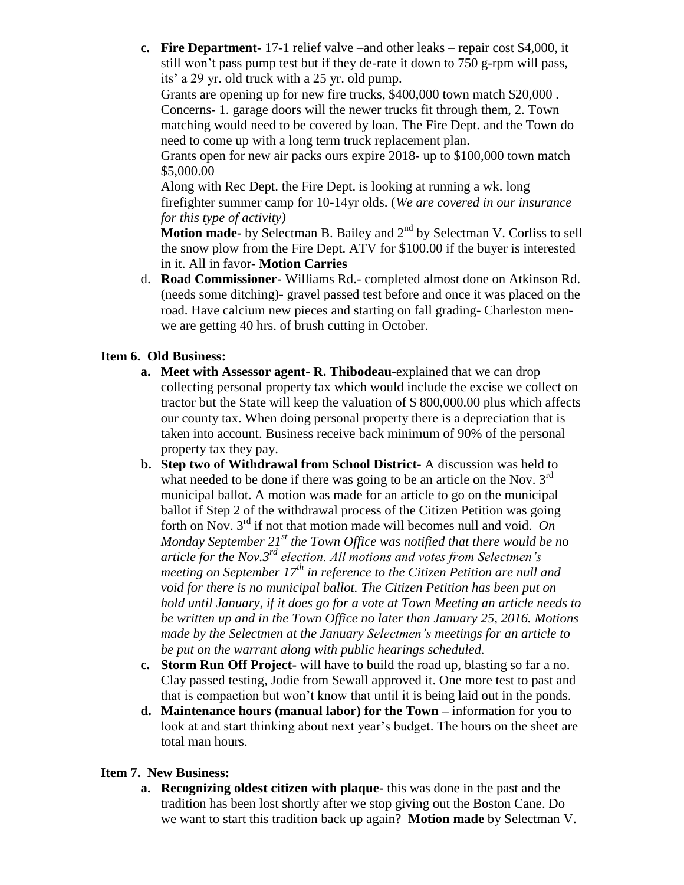**c. Fire Department-** 17-1 relief valve –and other leaks – repair cost \$4,000, it still won't pass pump test but if they de-rate it down to 750 g-rpm will pass, its' a 29 yr. old truck with a 25 yr. old pump.

Grants are opening up for new fire trucks, \$400,000 town match \$20,000 . Concerns- 1. garage doors will the newer trucks fit through them, 2. Town matching would need to be covered by loan. The Fire Dept. and the Town do need to come up with a long term truck replacement plan.

Grants open for new air packs ours expire 2018- up to \$100,000 town match \$5,000.00

Along with Rec Dept. the Fire Dept. is looking at running a wk. long firefighter summer camp for 10-14yr olds. (*We are covered in our insurance for this type of activity)*

**Motion made-** by Selectman B. Bailey and 2<sup>nd</sup> by Selectman V. Corliss to sell the snow plow from the Fire Dept. ATV for \$100.00 if the buyer is interested in it. All in favor- **Motion Carries**

d. **Road Commissioner-** Williams Rd.- completed almost done on Atkinson Rd. (needs some ditching)- gravel passed test before and once it was placed on the road. Have calcium new pieces and starting on fall grading- Charleston menwe are getting 40 hrs. of brush cutting in October.

# **Item 6. Old Business:**

- **a. Meet with Assessor agent- R. Thibodeau-**explained that we can drop collecting personal property tax which would include the excise we collect on tractor but the State will keep the valuation of \$ 800,000.00 plus which affects our county tax. When doing personal property there is a depreciation that is taken into account. Business receive back minimum of 90% of the personal property tax they pay.
- **b. Step two of Withdrawal from School District-** A discussion was held to what needed to be done if there was going to be an article on the Nov.  $3<sup>rd</sup>$ municipal ballot. A motion was made for an article to go on the municipal ballot if Step 2 of the withdrawal process of the Citizen Petition was going forth on Nov. 3rd if not that motion made will becomes null and void. *On Monday September 21st the Town Office was notified that there would be n*o *article for the Nov.3rd election. All motions and votes from Selectmen's meeting on September 17th in reference to the Citizen Petition are null and void for there is no municipal ballot. The Citizen Petition has been put on hold until January, if it does go for a vote at Town Meeting an article needs to be written up and in the Town Office no later than January 25, 2016. Motions made by the Selectmen at the January Selectmen's meetings for an article to be put on the warrant along with public hearings scheduled.*
- **c. Storm Run Off Project-** will have to build the road up, blasting so far a no. Clay passed testing, Jodie from Sewall approved it. One more test to past and that is compaction but won't know that until it is being laid out in the ponds.
- **d. Maintenance hours (manual labor) for the Town –** information for you to look at and start thinking about next year's budget. The hours on the sheet are total man hours.

# **Item 7. New Business:**

**a. Recognizing oldest citizen with plaque-** this was done in the past and the tradition has been lost shortly after we stop giving out the Boston Cane. Do we want to start this tradition back up again? **Motion made** by Selectman V.